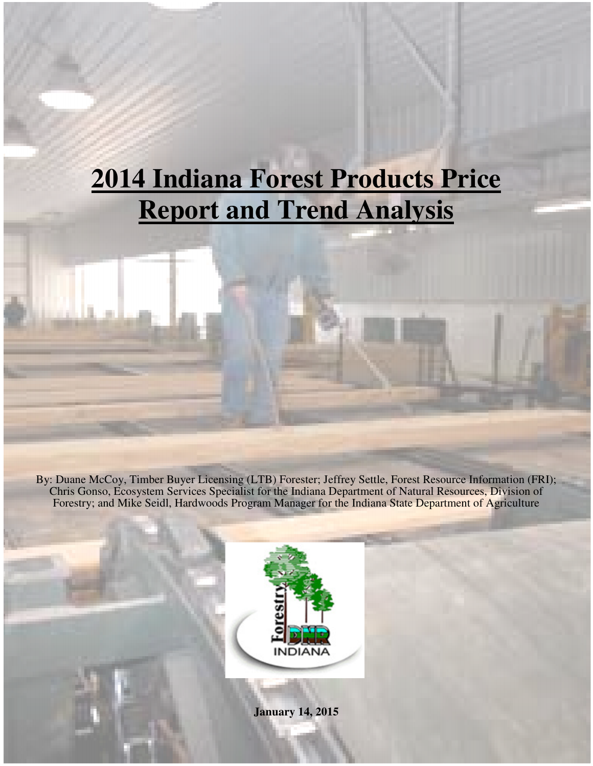# **2014 Indiana Forest Products Price Report and Trend Analysis**

By: Duane McCoy, Timber Buyer Licensing (LTB) Forester; Jeffrey Settle, Forest Resource Information (FRI); Chris Gonso, Ecosystem Services Specialist for the Indiana Department of Natural Resources, Division of Forestry; and Mike Seidl, Hardwoods Program Manager for the Indiana State Department of Agriculture



**January 14, 2015**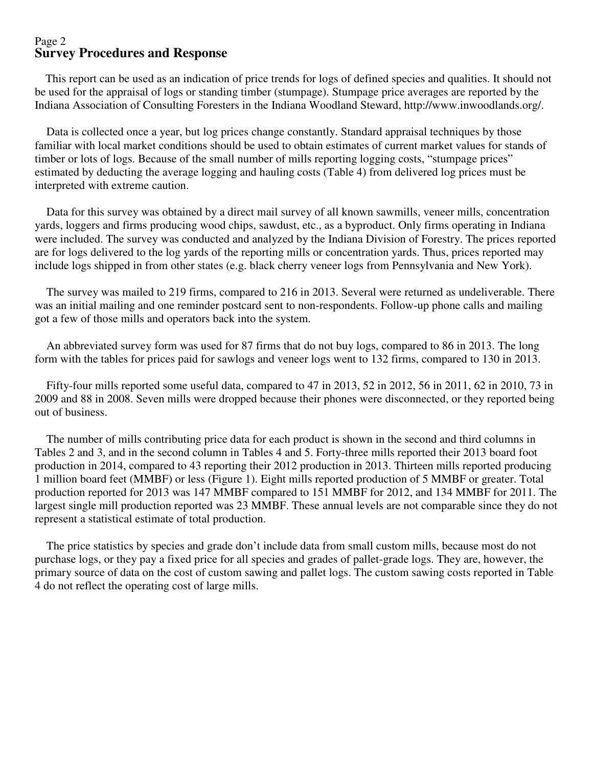#### Page 2 **Survey Procedures and Response**

 This report can be used as an indication of price trends for logs of defined species and qualities. It should not be used for the appraisal of logs or standing timber (stumpage). Stumpage price averages are reported by the Indiana Association of Consulting Foresters in the Indiana Woodland Steward, http://www.inwoodlands.org/.

 Data is collected once a year, but log prices change constantly. Standard appraisal techniques by those familiar with local market conditions should be used to obtain estimates of current market values for stands of timber or lots of logs. Because of the small number of mills reporting logging costs, "stumpage prices" estimated by deducting the average logging and hauling costs (Table 4) from delivered log prices must be interpreted with extreme caution.

 Data for this survey was obtained by a direct mail survey of all known sawmills, veneer mills, concentration yards, loggers and firms producing wood chips, sawdust, etc., as a byproduct. Only firms operating in Indiana were included. The survey was conducted and analyzed by the Indiana Division of Forestry. The prices reported are for logs delivered to the log yards of the reporting mills or concentration yards. Thus, prices reported may include logs shipped in from other states (e.g. black cherry veneer logs from Pennsylvania and New York).

 The survey was mailed to 219 firms, compared to 216 in 2013. Several were returned as undeliverable. There was an initial mailing and one reminder postcard sent to non-respondents. Follow-up phone calls and mailing got a few of those mills and operators back into the system.

 An abbreviated survey form was used for 87 firms that do not buy logs, compared to 86 in 2013. The long form with the tables for prices paid for sawlogs and veneer logs went to 132 firms, compared to 130 in 2013.

 Fifty-four mills reported some useful data, compared to 47 in 2013, 52 in 2012, 56 in 2011, 62 in 2010, 73 in 2009 and 88 in 2008. Seven mills were dropped because their phones were disconnected, or they reported being out of business.

 The number of mills contributing price data for each product is shown in the second and third columns in Tables 2 and 3, and in the second column in Tables 4 and 5. Forty-three mills reported their 2013 board foot production in 2014, compared to 43 reporting their 2012 production in 2013. Thirteen mills reported producing 1 million board feet (MMBF) or less (Figure 1). Eight mills reported production of 5 MMBF or greater. Total production reported for 2013 was 147 MMBF compared to 151 MMBF for 2012, and 134 MMBF for 2011. The largest single mill production reported was 23 MMBF. These annual levels are not comparable since they do not represent a statistical estimate of total production.

 The price statistics by species and grade don't include data from small custom mills, because most do not purchase logs, or they pay a fixed price for all species and grades of pallet-grade logs. They are, however, the primary source of data on the cost of custom sawing and pallet logs. The custom sawing costs reported in Table 4 do not reflect the operating cost of large mills.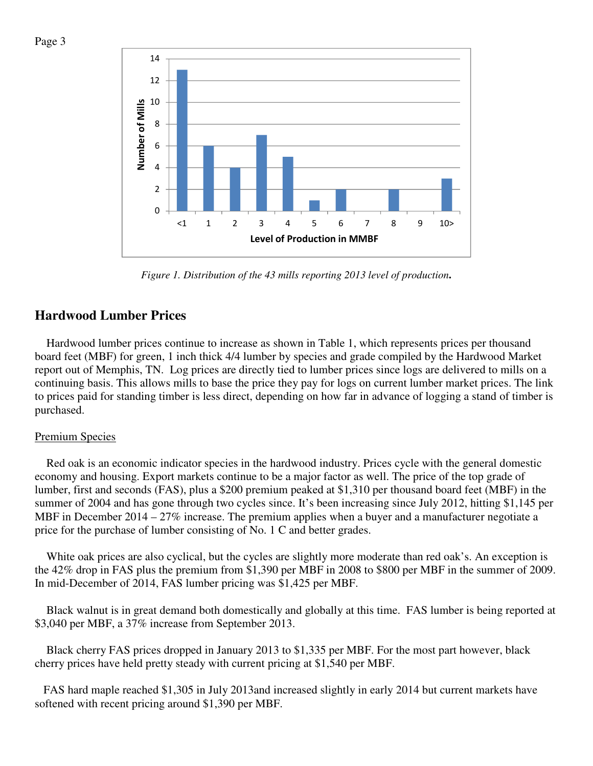



*Figure 1. Distribution of the 43 mills reporting 2013 level of production***.** 

## **Hardwood Lumber Prices**

 Hardwood lumber prices continue to increase as shown in Table 1, which represents prices per thousand board feet (MBF) for green, 1 inch thick 4/4 lumber by species and grade compiled by the Hardwood Market report out of Memphis, TN. Log prices are directly tied to lumber prices since logs are delivered to mills on a continuing basis. This allows mills to base the price they pay for logs on current lumber market prices. The link to prices paid for standing timber is less direct, depending on how far in advance of logging a stand of timber is purchased.

#### Premium Species

 Red oak is an economic indicator species in the hardwood industry. Prices cycle with the general domestic economy and housing. Export markets continue to be a major factor as well. The price of the top grade of lumber, first and seconds (FAS), plus a \$200 premium peaked at \$1,310 per thousand board feet (MBF) in the summer of 2004 and has gone through two cycles since. It's been increasing since July 2012, hitting \$1,145 per MBF in December  $2014 - 27\%$  increase. The premium applies when a buyer and a manufacturer negotiate a price for the purchase of lumber consisting of No. 1 C and better grades.

 White oak prices are also cyclical, but the cycles are slightly more moderate than red oak's. An exception is the 42% drop in FAS plus the premium from \$1,390 per MBF in 2008 to \$800 per MBF in the summer of 2009. In mid-December of 2014, FAS lumber pricing was \$1,425 per MBF.

 Black walnut is in great demand both domestically and globally at this time. FAS lumber is being reported at \$3,040 per MBF, a 37% increase from September 2013.

 Black cherry FAS prices dropped in January 2013 to \$1,335 per MBF. For the most part however, black cherry prices have held pretty steady with current pricing at \$1,540 per MBF.

 FAS hard maple reached \$1,305 in July 2013and increased slightly in early 2014 but current markets have softened with recent pricing around \$1,390 per MBF.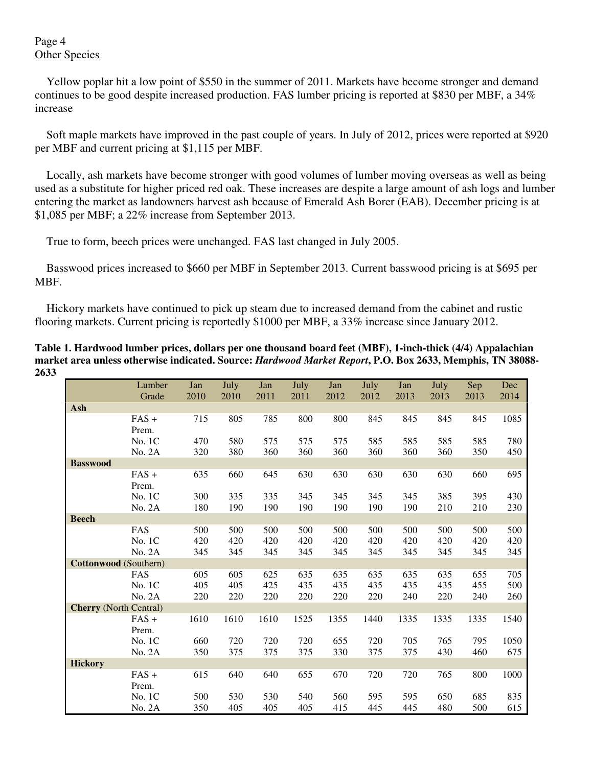## Page 4 Other Species

 Yellow poplar hit a low point of \$550 in the summer of 2011. Markets have become stronger and demand continues to be good despite increased production. FAS lumber pricing is reported at \$830 per MBF, a 34% increase

 Soft maple markets have improved in the past couple of years. In July of 2012, prices were reported at \$920 per MBF and current pricing at \$1,115 per MBF.

 Locally, ash markets have become stronger with good volumes of lumber moving overseas as well as being used as a substitute for higher priced red oak. These increases are despite a large amount of ash logs and lumber entering the market as landowners harvest ash because of Emerald Ash Borer (EAB). December pricing is at \$1,085 per MBF; a 22% increase from September 2013.

True to form, beech prices were unchanged. FAS last changed in July 2005.

 Basswood prices increased to \$660 per MBF in September 2013. Current basswood pricing is at \$695 per MBF.

 Hickory markets have continued to pick up steam due to increased demand from the cabinet and rustic flooring markets. Current pricing is reportedly \$1000 per MBF, a 33% increase since January 2012.

**Table 1. Hardwood lumber prices, dollars per one thousand board feet (MBF), 1-inch-thick (4/4) Appalachian market area unless otherwise indicated. Source:** *Hardwood Market Report***, P.O. Box 2633, Memphis, TN 38088- 2633** 

|                               | Lumber           | Jan  | July | Jan  | July | Jan  | July | Jan  | July | Sep  | Dec  |
|-------------------------------|------------------|------|------|------|------|------|------|------|------|------|------|
|                               | Grade            | 2010 | 2010 | 2011 | 2011 | 2012 | 2012 | 2013 | 2013 | 2013 | 2014 |
| Ash                           |                  |      |      |      |      |      |      |      |      |      |      |
|                               | $FAS +$<br>Prem. | 715  | 805  | 785  | 800  | 800  | 845  | 845  | 845  | 845  | 1085 |
|                               | No. 1C           | 470  | 580  | 575  | 575  | 575  | 585  | 585  | 585  | 585  | 780  |
|                               | No. 2A           | 320  | 380  | 360  | 360  | 360  | 360  | 360  | 360  | 350  | 450  |
| <b>Basswood</b>               |                  |      |      |      |      |      |      |      |      |      |      |
|                               | $FAS +$<br>Prem. | 635  | 660  | 645  | 630  | 630  | 630  | 630  | 630  | 660  | 695  |
|                               | No. 1C           | 300  | 335  | 335  | 345  | 345  | 345  | 345  | 385  | 395  | 430  |
|                               | No. 2A           | 180  | 190  | 190  | 190  | 190  | 190  | 190  | 210  | 210  | 230  |
| <b>Beech</b>                  |                  |      |      |      |      |      |      |      |      |      |      |
|                               | FAS              | 500  | 500  | 500  | 500  | 500  | 500  | 500  | 500  | 500  | 500  |
|                               | No. 1C           | 420  | 420  | 420  | 420  | 420  | 420  | 420  | 420  | 420  | 420  |
|                               | No. 2A           | 345  | 345  | 345  | 345  | 345  | 345  | 345  | 345  | 345  | 345  |
| <b>Cottonwood</b> (Southern)  |                  |      |      |      |      |      |      |      |      |      |      |
|                               | FAS              | 605  | 605  | 625  | 635  | 635  | 635  | 635  | 635  | 655  | 705  |
|                               | No. 1C           | 405  | 405  | 425  | 435  | 435  | 435  | 435  | 435  | 455  | 500  |
|                               | No. 2A           | 220  | 220  | 220  | 220  | 220  | 220  | 240  | 220  | 240  | 260  |
| <b>Cherry</b> (North Central) |                  |      |      |      |      |      |      |      |      |      |      |
|                               | $FAS +$<br>Prem. | 1610 | 1610 | 1610 | 1525 | 1355 | 1440 | 1335 | 1335 | 1335 | 1540 |
|                               | No. 1C           | 660  | 720  | 720  | 720  | 655  | 720  | 705  | 765  | 795  | 1050 |
|                               | No. 2A           | 350  | 375  | 375  | 375  | 330  | 375  | 375  | 430  | 460  | 675  |
| <b>Hickory</b>                |                  |      |      |      |      |      |      |      |      |      |      |
|                               | $FAS +$<br>Prem. | 615  | 640  | 640  | 655  | 670  | 720  | 720  | 765  | 800  | 1000 |
|                               | No. 1C           | 500  | 530  | 530  | 540  | 560  | 595  | 595  | 650  | 685  | 835  |
|                               | No. 2A           | 350  | 405  | 405  | 405  | 415  | 445  | 445  | 480  | 500  | 615  |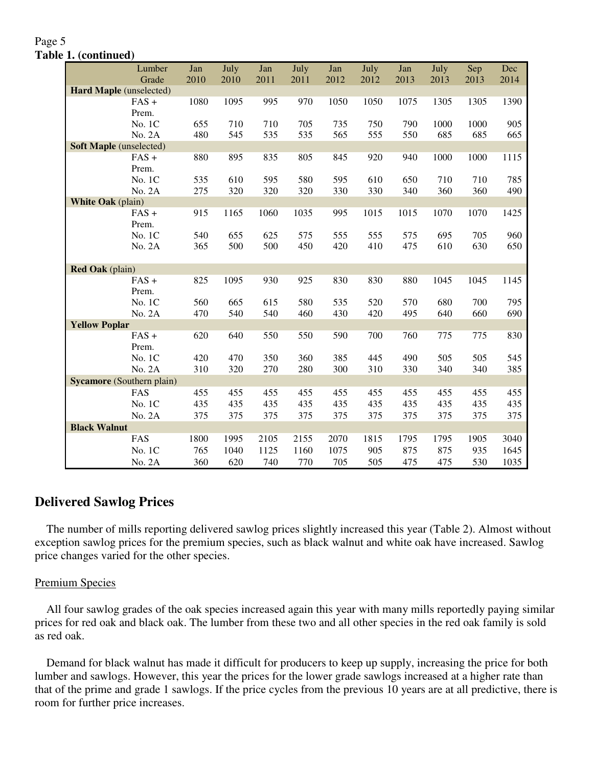#### Page 5 **Table 1. (continued)**

|                                  | Lumber  | Jan  | July | Jan  | July | Jan  | July | Jan  | July | Sep  | Dec  |
|----------------------------------|---------|------|------|------|------|------|------|------|------|------|------|
|                                  | Grade   | 2010 | 2010 | 2011 | 2011 | 2012 | 2012 | 2013 | 2013 | 2013 | 2014 |
| Hard Maple (unselected)          |         |      |      |      |      |      |      |      |      |      |      |
|                                  | $FAS +$ | 1080 | 1095 | 995  | 970  | 1050 | 1050 | 1075 | 1305 | 1305 | 1390 |
|                                  | Prem.   |      |      |      |      |      |      |      |      |      |      |
|                                  | No. 1C  | 655  | 710  | 710  | 705  | 735  | 750  | 790  | 1000 | 1000 | 905  |
|                                  | No. 2A  | 480  | 545  | 535  | 535  | 565  | 555  | 550  | 685  | 685  | 665  |
| <b>Soft Maple</b> (unselected)   |         |      |      |      |      |      |      |      |      |      |      |
|                                  | $FAS +$ | 880  | 895  | 835  | 805  | 845  | 920  | 940  | 1000 | 1000 | 1115 |
|                                  | Prem.   |      |      |      |      |      |      |      |      |      |      |
|                                  | No. 1C  | 535  | 610  | 595  | 580  | 595  | 610  | 650  | 710  | 710  | 785  |
|                                  | No. 2A  | 275  | 320  | 320  | 320  | 330  | 330  | 340  | 360  | 360  | 490  |
| <b>White Oak</b> (plain)         |         |      |      |      |      |      |      |      |      |      |      |
|                                  | $FAS +$ | 915  | 1165 | 1060 | 1035 | 995  | 1015 | 1015 | 1070 | 1070 | 1425 |
|                                  | Prem.   |      |      |      |      |      |      |      |      |      |      |
|                                  | No. 1C  | 540  | 655  | 625  | 575  | 555  | 555  | 575  | 695  | 705  | 960  |
|                                  | No. 2A  | 365  | 500  | 500  | 450  | 420  | 410  | 475  | 610  | 630  | 650  |
|                                  |         |      |      |      |      |      |      |      |      |      |      |
| <b>Red Oak</b> (plain)           |         |      |      |      |      |      |      |      |      |      |      |
|                                  | $FAS +$ | 825  | 1095 | 930  | 925  | 830  | 830  | 880  | 1045 | 1045 | 1145 |
|                                  | Prem.   |      |      |      |      |      |      |      |      |      |      |
|                                  | No. 1C  | 560  | 665  | 615  | 580  | 535  | 520  | 570  | 680  | 700  | 795  |
|                                  | No. 2A  | 470  | 540  | 540  | 460  | 430  | 420  | 495  | 640  | 660  | 690  |
| <b>Yellow Poplar</b>             | $FAS +$ |      |      |      |      |      |      | 760  |      |      |      |
|                                  | Prem.   | 620  | 640  | 550  | 550  | 590  | 700  |      | 775  | 775  | 830  |
|                                  | No. 1C  | 420  | 470  | 350  | 360  | 385  | 445  | 490  | 505  | 505  | 545  |
|                                  | No. 2A  | 310  | 320  | 270  | 280  | 300  | 310  | 330  | 340  | 340  | 385  |
| <b>Sycamore</b> (Southern plain) |         |      |      |      |      |      |      |      |      |      |      |
|                                  | FAS     | 455  | 455  | 455  | 455  | 455  | 455  | 455  | 455  | 455  | 455  |
|                                  |         |      |      |      |      |      |      |      |      |      |      |
|                                  | No. 1C  | 435  | 435  | 435  | 435  | 435  | 435  | 435  | 435  | 435  | 435  |
|                                  | No. 2A  | 375  | 375  | 375  | 375  | 375  | 375  | 375  | 375  | 375  | 375  |
| <b>Black Walnut</b>              |         |      |      |      |      |      |      |      |      |      |      |
|                                  | FAS     | 1800 | 1995 | 2105 | 2155 | 2070 | 1815 | 1795 | 1795 | 1905 | 3040 |
|                                  | No. 1C  | 765  | 1040 | 1125 | 1160 | 1075 | 905  | 875  | 875  | 935  | 1645 |
|                                  | No. 2A  | 360  | 620  | 740  | 770  | 705  | 505  | 475  | 475  | 530  | 1035 |

## **Delivered Sawlog Prices**

 The number of mills reporting delivered sawlog prices slightly increased this year (Table 2). Almost without exception sawlog prices for the premium species, such as black walnut and white oak have increased. Sawlog price changes varied for the other species.

#### Premium Species

 All four sawlog grades of the oak species increased again this year with many mills reportedly paying similar prices for red oak and black oak. The lumber from these two and all other species in the red oak family is sold as red oak.

 Demand for black walnut has made it difficult for producers to keep up supply, increasing the price for both lumber and sawlogs. However, this year the prices for the lower grade sawlogs increased at a higher rate than that of the prime and grade 1 sawlogs. If the price cycles from the previous 10 years are at all predictive, there is room for further price increases.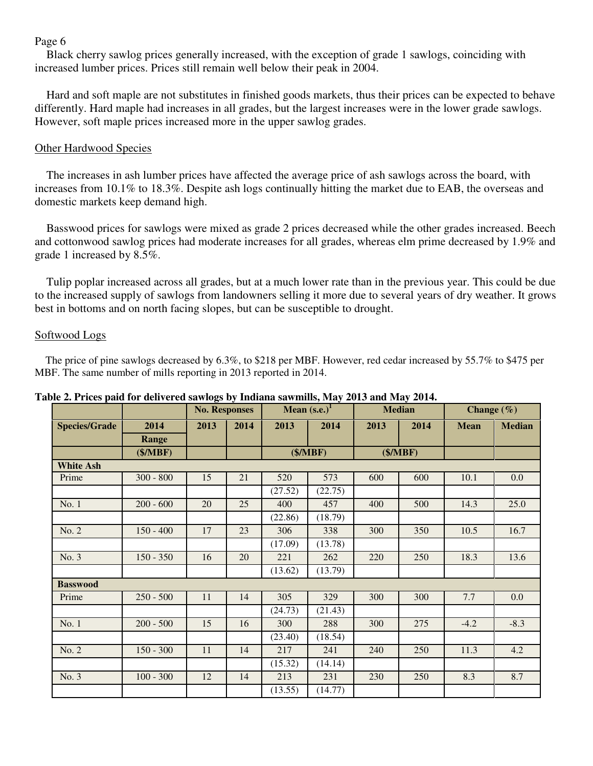Black cherry sawlog prices generally increased, with the exception of grade 1 sawlogs, coinciding with increased lumber prices. Prices still remain well below their peak in 2004.

 Hard and soft maple are not substitutes in finished goods markets, thus their prices can be expected to behave differently. Hard maple had increases in all grades, but the largest increases were in the lower grade sawlogs. However, soft maple prices increased more in the upper sawlog grades.

#### Other Hardwood Species

 The increases in ash lumber prices have affected the average price of ash sawlogs across the board, with increases from 10.1% to 18.3%. Despite ash logs continually hitting the market due to EAB, the overseas and domestic markets keep demand high.

 Basswood prices for sawlogs were mixed as grade 2 prices decreased while the other grades increased. Beech and cottonwood sawlog prices had moderate increases for all grades, whereas elm prime decreased by 1.9% and grade 1 increased by 8.5%.

 Tulip poplar increased across all grades, but at a much lower rate than in the previous year. This could be due to the increased supply of sawlogs from landowners selling it more due to several years of dry weather. It grows best in bottoms and on north facing slopes, but can be susceptible to drought.

#### Softwood Logs

 The price of pine sawlogs decreased by 6.3%, to \$218 per MBF. However, red cedar increased by 55.7% to \$475 per MBF. The same number of mills reporting in 2013 reported in 2014.

|                      |             | <b>No. Responses</b> |      |         | Mean $(s.e.)1$ | <b>Median</b> |      | Change $(\% )$ |               |
|----------------------|-------------|----------------------|------|---------|----------------|---------------|------|----------------|---------------|
| <b>Species/Grade</b> | 2014        | 2013                 | 2014 | 2013    | 2014           | 2013          | 2014 | <b>Mean</b>    | <b>Median</b> |
|                      | Range       |                      |      |         |                |               |      |                |               |
|                      | (\$/MBF)    |                      |      |         | (\$/MBF)       | (\$/MBF)      |      |                |               |
| <b>White Ash</b>     |             |                      |      |         |                |               |      |                |               |
| Prime                | $300 - 800$ | 15                   | 21   | 520     | 573            | 600           | 600  | 10.1           | $0.0\,$       |
|                      |             |                      |      | (27.52) | (22.75)        |               |      |                |               |
| No.1                 | $200 - 600$ | 20                   | 25   | 400     | 457            | 400           | 500  | 14.3           | 25.0          |
|                      |             |                      |      | (22.86) | (18.79)        |               |      |                |               |
| No. 2                | $150 - 400$ | 17                   | 23   | 306     | 338            | 300           | 350  | 10.5           | 16.7          |
|                      |             |                      |      | (17.09) | (13.78)        |               |      |                |               |
| No. 3                | $150 - 350$ | 16                   | 20   | 221     | 262            | 220           | 250  | 18.3           | 13.6          |
|                      |             |                      |      | (13.62) | (13.79)        |               |      |                |               |
| <b>Basswood</b>      |             |                      |      |         |                |               |      |                |               |
| Prime                | $250 - 500$ | 11                   | 14   | 305     | 329            | 300           | 300  | 7.7            | $0.0\,$       |
|                      |             |                      |      | (24.73) | (21.43)        |               |      |                |               |
| No. 1                | $200 - 500$ | 15                   | 16   | 300     | 288            | 300           | 275  | $-4.2$         | $-8.3$        |
|                      |             |                      |      | (23.40) | (18.54)        |               |      |                |               |
| No. 2                | $150 - 300$ | 11                   | 14   | 217     | 241            | 240           | 250  | 11.3           | 4.2           |
|                      |             |                      |      | (15.32) | (14.14)        |               |      |                |               |
| No. 3                | $100 - 300$ | 12                   | 14   | 213     | 231            | 230           | 250  | 8.3            | 8.7           |
|                      |             |                      |      | (13.55) | (14.77)        |               |      |                |               |

#### **Table 2. Prices paid for delivered sawlogs by Indiana sawmills, May 2013 and May 2014.**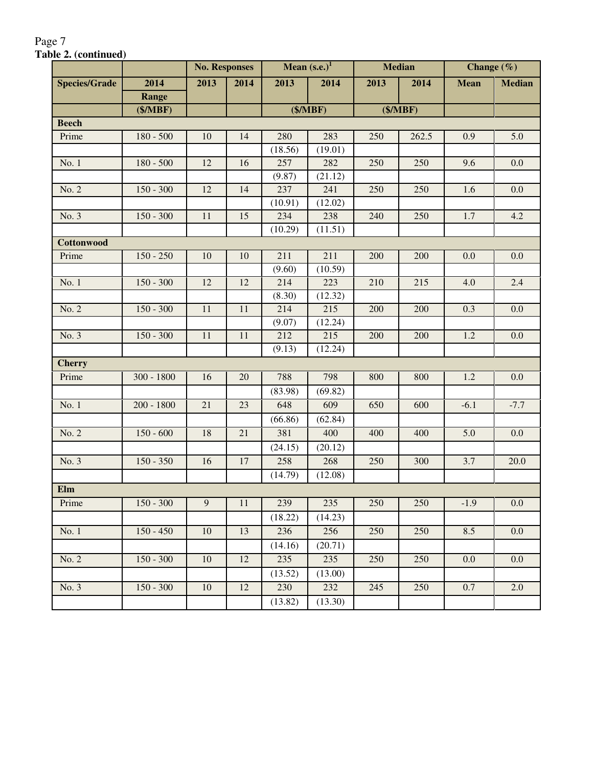|                      |              | <b>No. Responses</b> |                 |         | Mean $(s.e.)1$ |      | <b>Median</b> | Change $(\% )$ |               |
|----------------------|--------------|----------------------|-----------------|---------|----------------|------|---------------|----------------|---------------|
| <b>Species/Grade</b> | 2014         | 2013                 | 2014            | 2013    | 2014           | 2013 | 2014          | <b>Mean</b>    | <b>Median</b> |
|                      | Range        |                      |                 |         |                |      |               |                |               |
|                      | (\$/MBF)     |                      |                 |         | (\$/MBF)       |      | (\$/MBF)      |                |               |
| <b>Beech</b>         |              |                      |                 |         |                |      |               |                |               |
| Prime                | $180 - 500$  | $10\,$               | 14              | 280     | 283            | 250  | 262.5         | 0.9            | 5.0           |
|                      |              |                      |                 | (18.56) | (19.01)        |      |               |                |               |
| No. 1                | $180 - 500$  | 12                   | 16              | 257     | 282            | 250  | 250           | 9.6            | 0.0           |
|                      |              |                      |                 | (9.87)  | (21.12)        |      |               |                |               |
| No. 2                | $150 - 300$  | $12\,$               | 14              | 237     | 241            | 250  | 250           | 1.6            | 0.0           |
|                      |              |                      |                 | (10.91) | (12.02)        |      |               |                |               |
| No. 3                | $150 - 300$  | $\overline{11}$      | $\overline{15}$ | 234     | 238            | 240  | 250           | 1.7            | 4.2           |
|                      |              |                      |                 | (10.29) | (11.51)        |      |               |                |               |
| <b>Cottonwood</b>    |              |                      |                 |         |                |      |               |                |               |
| Prime                | $150 - 250$  | 10                   | 10              | 211     | 211            | 200  | 200           | 0.0            | 0.0           |
|                      |              |                      |                 | (9.60)  | (10.59)        |      |               |                |               |
| No. 1                | $150 - 300$  | 12                   | 12              | 214     | 223            | 210  | 215           | 4.0            | 2.4           |
|                      |              |                      |                 | (8.30)  | (12.32)        |      |               |                |               |
| No. 2                | $150 - 300$  | 11                   | 11              | 214     | 215            | 200  | 200           | 0.3            | 0.0           |
|                      |              |                      |                 | (9.07)  | (12.24)        |      |               |                |               |
| No. 3                | $150 - 300$  | $11\,$               | 11              | 212     | 215            | 200  | 200           | 1.2            | $0.0\,$       |
|                      |              |                      |                 | (9.13)  | (12.24)        |      |               |                |               |
| <b>Cherry</b>        |              |                      |                 |         |                |      |               |                |               |
| Prime                | $300 - 1800$ | 16                   | 20              | 788     | 798            | 800  | 800           | 1.2            | 0.0           |
|                      |              |                      |                 | (83.98) | (69.82)        |      |               |                |               |
| No. 1                | $200 - 1800$ | 21                   | 23              | 648     | 609            | 650  | 600           | $-6.1$         | $-7.7$        |
|                      |              |                      |                 | (66.86) | (62.84)        |      |               |                |               |
| No. 2                | $150 - 600$  | 18                   | 21              | 381     | 400            | 400  | 400           | 5.0            | 0.0           |
|                      |              |                      |                 | (24.15) | (20.12)        |      |               |                |               |
| No. 3                | $150 - 350$  | 16                   | $17\,$          | 258     | 268            | 250  | 300           | 3.7            | 20.0          |
|                      |              |                      |                 | (14.79) | (12.08)        |      |               |                |               |
| Elm                  |              |                      |                 |         |                |      |               |                |               |
| Prime                | $150 - 300$  | 9                    | 11              | 239     | 235            | 250  | 250           | $-1.9$         | 0.0           |
|                      |              |                      |                 | (18.22) | (14.23)        |      |               |                |               |
| No. 1                | $150 - 450$  | $10\,$               | 13              | 236     | 256            | 250  | 250           | 8.5            | $0.0\,$       |
|                      |              |                      |                 | (14.16) | (20.71)        |      |               |                |               |
| No. 2                | $150 - 300$  | $10\,$               | $12\,$          | 235     | 235            | 250  | 250           | 0.0            | $0.0\,$       |
|                      |              |                      |                 | (13.52) | (13.00)        |      |               |                |               |
| No.3                 | $150 - 300$  | 10                   | $12\,$          | 230     | 232            | 245  | 250           | 0.7            | 2.0           |
|                      |              |                      |                 | (13.82) | (13.30)        |      |               |                |               |
|                      |              |                      |                 |         |                |      |               |                |               |

#### Page 7 **Table 2. (continued)**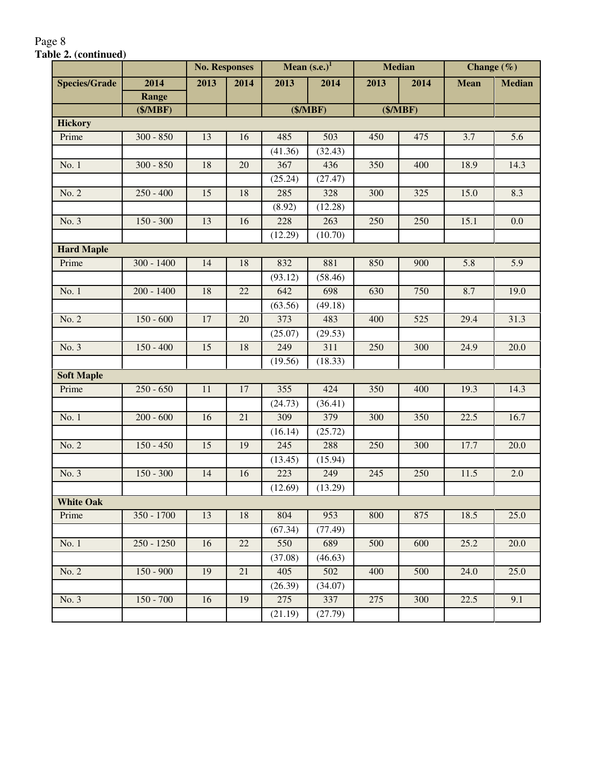|                      |              | <b>No. Responses</b> |                 |         | Mean $(s.e.)1$ |      | <b>Median</b> |             | Change $(\% )$   |
|----------------------|--------------|----------------------|-----------------|---------|----------------|------|---------------|-------------|------------------|
| <b>Species/Grade</b> | 2014         | 2013                 | 2014            | 2013    | 2014           | 2013 | 2014          | <b>Mean</b> | <b>Median</b>    |
|                      | Range        |                      |                 |         |                |      |               |             |                  |
|                      | (\$/MBF)     |                      |                 |         | (\$/MBF)       |      | (\$/MBF)      |             |                  |
| <b>Hickory</b>       |              |                      |                 |         |                |      |               |             |                  |
| Prime                | $300 - 850$  | 13                   | 16              | 485     | 503            | 450  | 475           | 3.7         | 5.6              |
|                      |              |                      |                 | (41.36) | (32.43)        |      |               |             |                  |
| No. 1                | $300 - 850$  | 18                   | 20              | 367     | 436            | 350  | 400           | 18.9        | 14.3             |
|                      |              |                      |                 | (25.24) | (27.47)        |      |               |             |                  |
| No. 2                | $250 - 400$  | 15                   | 18              | 285     | 328            | 300  | 325           | 15.0        | 8.3              |
|                      |              |                      |                 | (8.92)  | (12.28)        |      |               |             |                  |
| No. 3                | $150 - 300$  | 13                   | 16              | 228     | 263            | 250  | 250           | 15.1        | 0.0              |
|                      |              |                      |                 | (12.29) | (10.70)        |      |               |             |                  |
| <b>Hard Maple</b>    |              |                      |                 |         |                |      |               |             |                  |
| Prime                | $300 - 1400$ | 14                   | 18              | 832     | 881            | 850  | 900           | 5.8         | $\overline{5.9}$ |
|                      |              |                      |                 | (93.12) | (58.46)        |      |               |             |                  |
| No. 1                | $200 - 1400$ | 18                   | 22              | 642     | 698            | 630  | 750           | 8.7         | 19.0             |
|                      |              |                      |                 | (63.56) | (49.18)        |      |               |             |                  |
| No. 2                | $150 - 600$  | 17                   | 20              | 373     | 483            | 400  | 525           | 29.4        | 31.3             |
|                      |              |                      |                 | (25.07) | (29.53)        |      |               |             |                  |
| No. 3                | $150 - 400$  | 15                   | 18              | 249     | 311            | 250  | 300           | 24.9        | 20.0             |
|                      |              |                      |                 | (19.56) | (18.33)        |      |               |             |                  |
| <b>Soft Maple</b>    |              |                      |                 |         |                |      |               |             |                  |
| Prime                | $250 - 650$  | $11\,$               | 17              | 355     | 424            | 350  | 400           | 19.3        | 14.3             |
|                      |              |                      |                 | (24.73) | (36.41)        |      |               |             |                  |
| No. 1                | $200 - 600$  | 16                   | 21              | 309     | 379            | 300  | 350           | 22.5        | 16.7             |
|                      |              |                      |                 | (16.14) | (25.72)        |      |               |             |                  |
| No. 2                | $150 - 450$  | 15                   | 19              | 245     | 288            | 250  | 300           | 17.7        | 20.0             |
|                      |              |                      |                 | (13.45) | (15.94)        |      |               |             |                  |
| No. 3                | $150 - 300$  | 14                   | 16              | 223     | 249            | 245  | 250           | 11.5        | 2.0              |
|                      |              |                      |                 | (12.69) | (13.29)        |      |               |             |                  |
| <b>White Oak</b>     |              |                      |                 |         |                |      |               |             |                  |
| Prime                | 350 - 1700   | 13                   | 18              | 804     | 953            | 800  | 875           | 18.5        | 25.0             |
|                      |              |                      |                 | (67.34) | (77.49)        |      |               |             |                  |
| No. 1                | $250 - 1250$ | 16                   | 22              | 550     | 689            | 500  | 600           | 25.2        | 20.0             |
|                      |              |                      |                 | (37.08) | (46.63)        |      |               |             |                  |
| No. 2                | $150 - 900$  | 19                   | 21              | 405     | 502            | 400  | 500           | 24.0        | 25.0             |
|                      |              |                      |                 | (26.39) | (34.07)        |      |               |             |                  |
| No. 3                | $150 - 700$  | 16                   | $\overline{19}$ | 275     | 337            | 275  | 300           | 22.5        | 9.1              |
|                      |              |                      |                 | (21.19) | (27.79)        |      |               |             |                  |

#### Page 8 **Table 2. (continued)**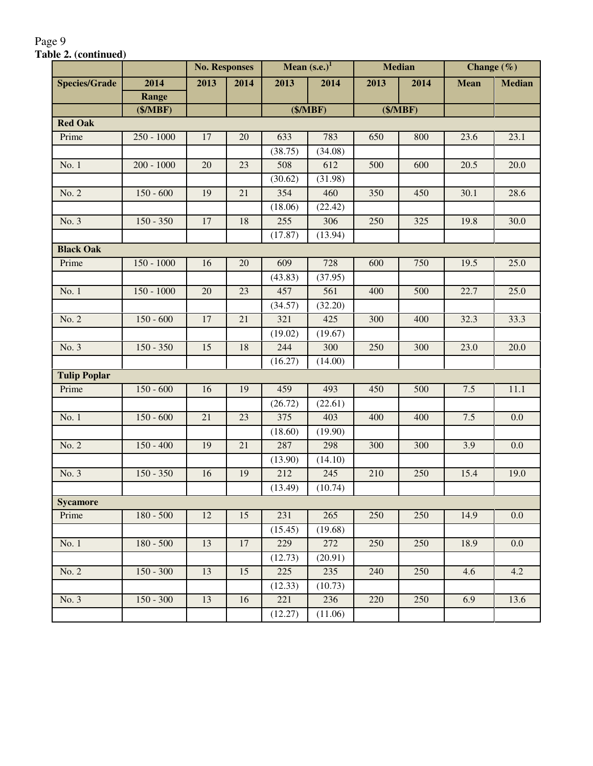|                      |              | <b>No. Responses</b> |      |         | Mean $(s.e.)1$ |      | <b>Median</b> |             | Change $(\% )$    |
|----------------------|--------------|----------------------|------|---------|----------------|------|---------------|-------------|-------------------|
| <b>Species/Grade</b> | 2014         | 2013                 | 2014 | 2013    | 2014           | 2013 | 2014          | <b>Mean</b> | <b>Median</b>     |
|                      | Range        |                      |      |         |                |      |               |             |                   |
|                      | (\$/MBF)     |                      |      |         | (\$/MBF)       |      | (\$/MBF)      |             |                   |
| <b>Red Oak</b>       |              |                      |      |         |                |      |               |             |                   |
| Prime                | $250 - 1000$ | 17                   | 20   | 633     | 783            | 650  | 800           | 23.6        | 23.1              |
|                      |              |                      |      | (38.75) | (34.08)        |      |               |             |                   |
| No. 1                | $200 - 1000$ | 20                   | 23   | 508     | 612            | 500  | 600           | 20.5        | 20.0              |
|                      |              |                      |      | (30.62) | (31.98)        |      |               |             |                   |
| No. 2                | $150 - 600$  | 19                   | 21   | 354     | 460            | 350  | 450           | 30.1        | 28.6              |
|                      |              |                      |      | (18.06) | (22.42)        |      |               |             |                   |
| No. 3                | $150 - 350$  | 17                   | 18   | 255     | 306            | 250  | 325           | 19.8        | 30.0              |
|                      |              |                      |      | (17.87) | (13.94)        |      |               |             |                   |
| <b>Black Oak</b>     |              |                      |      |         |                |      |               |             |                   |
| Prime                | $150 - 1000$ | 16                   | 20   | 609     | 728            | 600  | 750           | 19.5        | 25.0              |
|                      |              |                      |      | (43.83) | (37.95)        |      |               |             |                   |
| No. 1                | $150 - 1000$ | 20                   | 23   | 457     | 561            | 400  | 500           | 22.7        | 25.0              |
|                      |              |                      |      | (34.57) | (32.20)        |      |               |             |                   |
| No. 2                | $150 - 600$  | 17                   | 21   | 321     | 425            | 300  | 400           | 32.3        | 33.3              |
|                      |              |                      |      | (19.02) | (19.67)        |      |               |             |                   |
| No. 3                | $150 - 350$  | 15                   | 18   | 244     | 300            | 250  | 300           | 23.0        | $\overline{20.0}$ |
|                      |              |                      |      | (16.27) | (14.00)        |      |               |             |                   |
| <b>Tulip Poplar</b>  |              |                      |      |         |                |      |               |             |                   |
| Prime                | $150 - 600$  | 16                   | 19   | 459     | 493            | 450  | 500           | 7.5         | 11.1              |
|                      |              |                      |      | (26.72) | (22.61)        |      |               |             |                   |
| No. 1                | $150 - 600$  | 21                   | 23   | 375     | 403            | 400  | 400           | $7.5$       | 0.0               |
|                      |              |                      |      | (18.60) | (19.90)        |      |               |             |                   |
| No. 2                | $150 - 400$  | 19                   | 21   | 287     | 298            | 300  | 300           | 3.9         | 0.0               |
|                      |              |                      |      | (13.90) | (14.10)        |      |               |             |                   |
| No. 3                | $150 - 350$  | 16                   | 19   | 212     | 245            | 210  | 250           | 15.4        | 19.0              |
|                      |              |                      |      | (13.49) | (10.74)        |      |               |             |                   |
| <b>Sycamore</b>      |              |                      |      |         |                |      |               |             |                   |
| Prime                | $180 - 500$  | 12                   | 15   | 231     | 265            | 250  | 250           | 14.9        | 0.0               |
|                      |              |                      |      | (15.45) | (19.68)        |      |               |             |                   |
| No. 1                | $180 - 500$  | 13                   | 17   | 229     | 272            | 250  | 250           | 18.9        | $0.0\,$           |
|                      |              |                      |      | (12.73) | (20.91)        |      |               |             |                   |
| No. 2                | $150 - 300$  | 13                   | 15   | 225     | 235            | 240  | 250           | 4.6         | 4.2               |
|                      |              |                      |      | (12.33) | (10.73)        |      |               |             |                   |
| No.3                 | $150 - 300$  | $\overline{13}$      | 16   | 221     | 236            | 220  | 250           | 6.9         | 13.6              |
|                      |              |                      |      | (12.27) | (11.06)        |      |               |             |                   |

## Page 9 **Table 2. (continued)**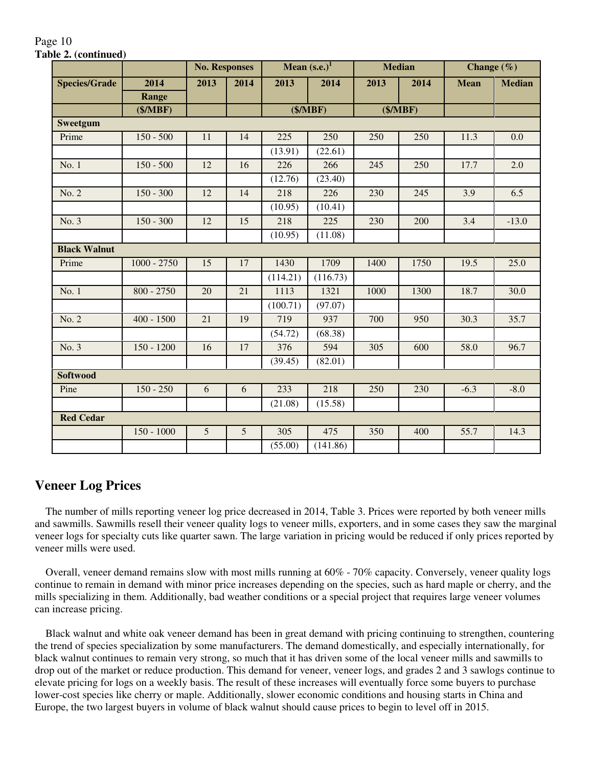|                      |               | <b>No. Responses</b> |      |          | Mean $(s.e.)1$ |      | <b>Median</b> | Change $(\% )$ |               |
|----------------------|---------------|----------------------|------|----------|----------------|------|---------------|----------------|---------------|
| <b>Species/Grade</b> | 2014          | 2013                 | 2014 | 2013     | 2014           | 2013 | 2014          | <b>Mean</b>    | <b>Median</b> |
|                      | <b>Range</b>  |                      |      |          |                |      |               |                |               |
|                      | (\$/MBF)      |                      |      |          | (\$/MBF)       |      | (\$/MBF)      |                |               |
| <b>Sweetgum</b>      |               |                      |      |          |                |      |               |                |               |
| Prime                | $150 - 500$   | 11                   | 14   | 225      | 250            | 250  | 250           | 11.3           | 0.0           |
|                      |               |                      |      | (13.91)  | (22.61)        |      |               |                |               |
| No. 1                | $150 - 500$   | 12                   | 16   | 226      | 266            | 245  | 250           | 17.7           | 2.0           |
|                      |               |                      |      | (12.76)  | (23.40)        |      |               |                |               |
| No. 2                | $150 - 300$   | 12                   | 14   | 218      | 226            | 230  | 245           | 3.9            | 6.5           |
|                      |               |                      |      | (10.95)  | (10.41)        |      |               |                |               |
| No. 3                | $150 - 300$   | 12                   | 15   | 218      | 225            | 230  | 200           | 3.4            | $-13.0$       |
|                      |               |                      |      | (10.95)  | (11.08)        |      |               |                |               |
| <b>Black Walnut</b>  |               |                      |      |          |                |      |               |                |               |
| Prime                | $1000 - 2750$ | 15                   | 17   | 1430     | 1709           | 1400 | 1750          | 19.5           | 25.0          |
|                      |               |                      |      | (114.21) | (116.73)       |      |               |                |               |
| No. 1                | $800 - 2750$  | 20                   | 21   | 1113     | 1321           | 1000 | 1300          | 18.7           | 30.0          |
|                      |               |                      |      | (100.71) | (97.07)        |      |               |                |               |
| No. 2                | $400 - 1500$  | 21                   | 19   | 719      | 937            | 700  | 950           | 30.3           | 35.7          |
|                      |               |                      |      | (54.72)  | (68.38)        |      |               |                |               |
| No. 3                | $150 - 1200$  | 16                   | 17   | 376      | 594            | 305  | 600           | 58.0           | 96.7          |
|                      |               |                      |      | (39.45)  | (82.01)        |      |               |                |               |
| <b>Softwood</b>      |               |                      |      |          |                |      |               |                |               |
| Pine                 | $150 - 250$   | 6                    | 6    | 233      | 218            | 250  | 230           | $-6.3$         | $-8.0$        |
|                      |               |                      |      | (21.08)  | (15.58)        |      |               |                |               |
| <b>Red Cedar</b>     |               |                      |      |          |                |      |               |                |               |
|                      | $150 - 1000$  | $\overline{5}$       | 5    | 305      | 475            | 350  | 400           | 55.7           | 14.3          |
|                      |               |                      |      | (55.00)  | (141.86)       |      |               |                |               |

#### Page 10 **Table 2. (continued)**

## **Veneer Log Prices**

 The number of mills reporting veneer log price decreased in 2014, Table 3. Prices were reported by both veneer mills and sawmills. Sawmills resell their veneer quality logs to veneer mills, exporters, and in some cases they saw the marginal veneer logs for specialty cuts like quarter sawn. The large variation in pricing would be reduced if only prices reported by veneer mills were used.

 Overall, veneer demand remains slow with most mills running at 60% - 70% capacity. Conversely, veneer quality logs continue to remain in demand with minor price increases depending on the species, such as hard maple or cherry, and the mills specializing in them. Additionally, bad weather conditions or a special project that requires large veneer volumes can increase pricing.

 Black walnut and white oak veneer demand has been in great demand with pricing continuing to strengthen, countering the trend of species specialization by some manufacturers. The demand domestically, and especially internationally, for black walnut continues to remain very strong, so much that it has driven some of the local veneer mills and sawmills to drop out of the market or reduce production. This demand for veneer, veneer logs, and grades 2 and 3 sawlogs continue to elevate pricing for logs on a weekly basis. The result of these increases will eventually force some buyers to purchase lower-cost species like cherry or maple. Additionally, slower economic conditions and housing starts in China and Europe, the two largest buyers in volume of black walnut should cause prices to begin to level off in 2015.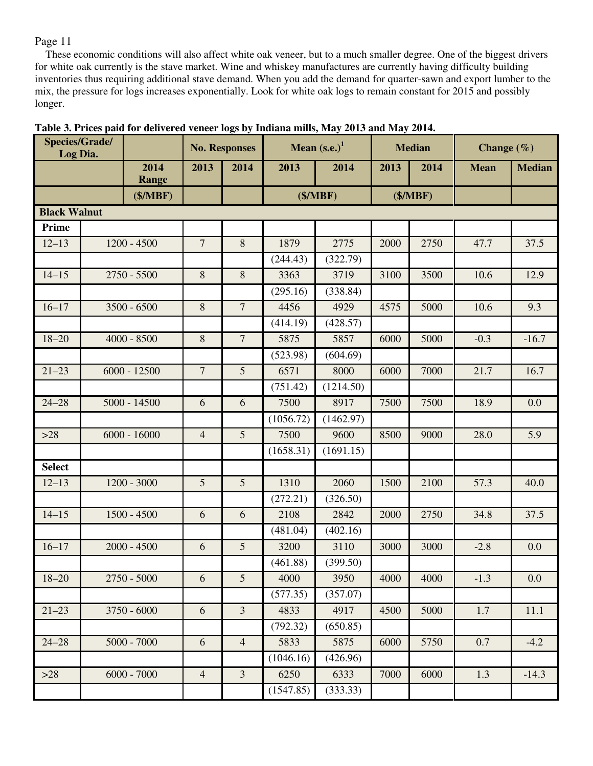These economic conditions will also affect white oak veneer, but to a much smaller degree. One of the biggest drivers for white oak currently is the stave market. Wine and whiskey manufactures are currently having difficulty building inventories thus requiring additional stave demand. When you add the demand for quarter-sawn and export lumber to the mix, the pressure for logs increases exponentially. Look for white oak logs to remain constant for 2015 and possibly longer.

| Species/Grade/<br>Log Dia. |                      |                | <b>No. Responses</b> | Mean $(s.e.)1$<br><b>Median</b><br>Change $(\% )$ |           |      |          |             |               |
|----------------------------|----------------------|----------------|----------------------|---------------------------------------------------|-----------|------|----------|-------------|---------------|
|                            | 2014<br><b>Range</b> | 2013           | 2014                 | 2013                                              | 2014      | 2013 | 2014     | <b>Mean</b> | <b>Median</b> |
|                            | (\$/MBF)             |                |                      |                                                   | (\$/MBF)  |      | (\$/MBF) |             |               |
| <b>Black Walnut</b>        |                      |                |                      |                                                   |           |      |          |             |               |
| Prime                      |                      |                |                      |                                                   |           |      |          |             |               |
| $12 - 13$                  | $1200 - 4500$        | $\overline{7}$ | 8                    | 1879                                              | 2775      | 2000 | 2750     | 47.7        | 37.5          |
|                            |                      |                |                      | (244.43)                                          | (322.79)  |      |          |             |               |
| $14 - 15$                  | $2750 - 5500$        | $8\,$          | $\,8\,$              | 3363                                              | 3719      | 3100 | 3500     | 10.6        | 12.9          |
|                            |                      |                |                      | (295.16)                                          | (338.84)  |      |          |             |               |
| $16 - 17$                  | $3500 - 6500$        | $8\,$          | $\overline{7}$       | 4456                                              | 4929      | 4575 | 5000     | 10.6        | 9.3           |
|                            |                      |                |                      | (414.19)                                          | (428.57)  |      |          |             |               |
| $18 - 20$                  | $4000 - 8500$        | $8\,$          | $\overline{7}$       | 5875                                              | 5857      | 6000 | 5000     | $-0.3$      | $-16.7$       |
|                            |                      |                |                      | (523.98)                                          | (604.69)  |      |          |             |               |
| $21 - 23$                  | $6000 - 12500$       | $\overline{7}$ | $5\overline{)}$      | 6571                                              | 8000      | 6000 | 7000     | 21.7        | 16.7          |
|                            |                      |                |                      | (751.42)                                          | (1214.50) |      |          |             |               |
| $24 - 28$                  | $5000 - 14500$       | 6              | 6                    | 7500                                              | 8917      | 7500 | 7500     | 18.9        | 0.0           |
|                            |                      |                |                      | (1056.72)                                         | (1462.97) |      |          |             |               |
| $>28$                      | $6000 - 16000$       | $\overline{4}$ | $5\overline{)}$      | 7500                                              | 9600      | 8500 | 9000     | 28.0        | 5.9           |
|                            |                      |                |                      | (1658.31)                                         | (1691.15) |      |          |             |               |
| <b>Select</b>              |                      |                |                      |                                                   |           |      |          |             |               |
| $12 - 13$                  | $1200 - 3000$        | 5              | $5\overline{)}$      | 1310                                              | 2060      | 1500 | 2100     | 57.3        | 40.0          |
|                            |                      |                |                      | (272.21)                                          | (326.50)  |      |          |             |               |
| $14 - 15$                  | $1500 - 4500$        | 6              | 6                    | 2108                                              | 2842      | 2000 | 2750     | 34.8        | 37.5          |
|                            |                      |                |                      | (481.04)                                          | (402.16)  |      |          |             |               |
| $16 - 17$                  | $2000 - 4500$        | 6              | 5                    | 3200                                              | 3110      | 3000 | 3000     | $-2.8$      | 0.0           |
|                            |                      |                |                      | (461.88)                                          | (399.50)  |      |          |             |               |
| $18 - 20$                  | $2750 - 5000$        | 6              | 5                    | 4000                                              | 3950      | 4000 | 4000     | $-1.3$      | 0.0           |
|                            |                      |                |                      | (577.35)                                          | (357.07)  |      |          |             |               |
| $21 - 23$                  | $3750 - 6000$        | 6              | $\overline{3}$       | 4833                                              | 4917      | 4500 | 5000     | 1.7         | 11.1          |
|                            |                      |                |                      | (792.32)                                          | (650.85)  |      |          |             |               |
| $24 - 28$                  | $5000 - 7000$        | 6              | $\overline{4}$       | 5833                                              | 5875      | 6000 | 5750     | 0.7         | $-4.2$        |
|                            |                      |                |                      | (1046.16)                                         | (426.96)  |      |          |             |               |
| $>28$                      | $6000 - 7000$        | $\overline{4}$ | $\overline{3}$       | 6250                                              | 6333      | 7000 | 6000     | 1.3         | $-14.3$       |
|                            |                      |                |                      | (1547.85)                                         | (333.33)  |      |          |             |               |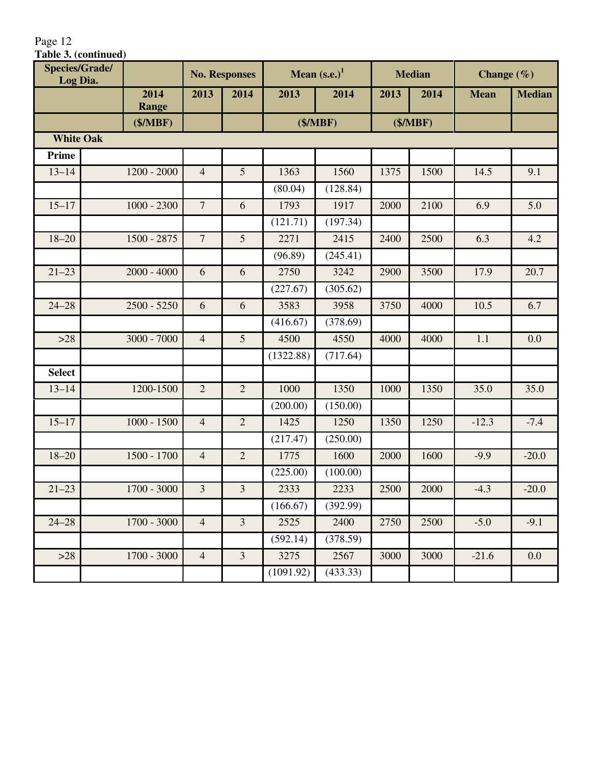| Table 3. (continued)              |               |                |                      |           |                |      |               |                |               |
|-----------------------------------|---------------|----------------|----------------------|-----------|----------------|------|---------------|----------------|---------------|
| <b>Species/Grade/</b><br>Log Dia. |               |                | <b>No. Responses</b> |           | Mean $(s.e.)1$ |      | <b>Median</b> | Change $(\% )$ |               |
|                                   | 2014          | 2013           | 2014                 | 2013      | 2014           | 2013 | 2014          | <b>Mean</b>    | <b>Median</b> |
|                                   | <b>Range</b>  |                |                      |           |                |      |               |                |               |
|                                   | (\$/MBF)      |                |                      |           | (\$/MBF)       |      | (\$/MBF)      |                |               |
| <b>White Oak</b>                  |               |                |                      |           |                |      |               |                |               |
| Prime                             |               |                |                      |           |                |      |               |                |               |
| $13 - 14$                         | $1200 - 2000$ | $\overline{4}$ | 5                    | 1363      | 1560           | 1375 | 1500          | 14.5           | 9.1           |
|                                   |               |                |                      | (80.04)   | (128.84)       |      |               |                |               |
| $15 - 17$                         | $1000 - 2300$ | $\overline{7}$ | 6                    | 1793      | 1917           | 2000 | 2100          | 6.9            | 5.0           |
|                                   |               |                |                      | (121.71)  | (197.34)       |      |               |                |               |
| $18 - 20$                         | $1500 - 2875$ | $\overline{7}$ | 5                    | 2271      | 2415           | 2400 | 2500          | 6.3            | 4.2           |
|                                   |               |                |                      | (96.89)   | (245.41)       |      |               |                |               |
| $21 - 23$                         | $2000 - 4000$ | 6              | 6                    | 2750      | 3242           | 2900 | 3500          | 17.9           | 20.7          |
|                                   |               |                |                      | (227.67)  | (305.62)       |      |               |                |               |
| $24 - 28$                         | $2500 - 5250$ | 6              | 6                    | 3583      | 3958           | 3750 | 4000          | 10.5           | 6.7           |
|                                   |               |                |                      | (416.67)  | (378.69)       |      |               |                |               |
| $>28$                             | $3000 - 7000$ | $\overline{4}$ | 5                    | 4500      | 4550           | 4000 | 4000          | 1.1            | 0.0           |
|                                   |               |                |                      | (1322.88) | (717.64)       |      |               |                |               |
| <b>Select</b>                     |               |                |                      |           |                |      |               |                |               |
| $13 - 14$                         | 1200-1500     | $\overline{2}$ | $\overline{2}$       | 1000      | 1350           | 1000 | 1350          | 35.0           | 35.0          |
|                                   |               |                |                      | (200.00)  | (150.00)       |      |               |                |               |
| $15 - 17$                         | $1000 - 1500$ | $\overline{4}$ | $\overline{2}$       | 1425      | 1250           | 1350 | 1250          | $-12.3$        | $-7.4$        |
|                                   |               |                |                      | (217.47)  | (250.00)       |      |               |                |               |
| $18 - 20$                         | 1500 - 1700   | $\overline{4}$ | $\overline{2}$       | 1775      | 1600           | 2000 | 1600          | $-9.9$         | $-20.0$       |
|                                   |               |                |                      | (225.00)  | (100.00)       |      |               |                |               |
| $21 - 23$                         | $1700 - 3000$ | 3              | 3                    | 2333      | 2233           | 2500 | 2000          | $-4.3$         | $-20.0$       |
|                                   |               |                |                      | (166.67)  | (392.99)       |      |               |                |               |
| $24 - 28$                         | $1700 - 3000$ | $\overline{4}$ | $\overline{3}$       | 2525      | 2400           | 2750 | 2500          | $-5.0$         | $-9.1$        |
|                                   |               |                |                      | (592.14)  | (378.59)       |      |               |                |               |
| $>28$                             | $1700 - 3000$ | $\overline{4}$ | $\overline{3}$       | 3275      | 2567           | 3000 | 3000          | $-21.6$        | 0.0           |
|                                   |               |                |                      | (1091.92) | (433.33)       |      |               |                |               |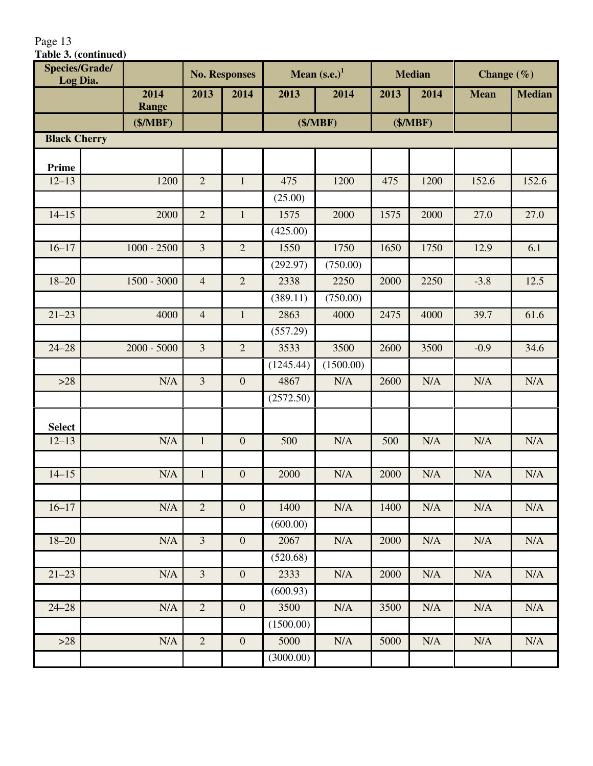| <b>Species/Grade/</b> |               |                         | <b>No. Responses</b> |           | Mean $(s.e.)1$ |      | <b>Median</b> | Change $(\% )$ |               |
|-----------------------|---------------|-------------------------|----------------------|-----------|----------------|------|---------------|----------------|---------------|
| Log Dia.              | 2014          | 2013                    | 2014                 | 2013      | 2014           | 2013 | 2014          | <b>Mean</b>    | <b>Median</b> |
|                       | <b>Range</b>  |                         |                      |           |                |      |               |                |               |
|                       | (\$/MBF)      |                         |                      |           | (\$/MBF)       |      | (\$/MBF)      |                |               |
| <b>Black Cherry</b>   |               |                         |                      |           |                |      |               |                |               |
|                       |               |                         |                      |           |                |      |               |                |               |
| Prime<br>$12 - 13$    | 1200          | $\overline{2}$          | $\mathbf{1}$         | 475       | 1200           | 475  | 1200          | 152.6          | 152.6         |
|                       |               |                         |                      | (25.00)   |                |      |               |                |               |
| $14 - 15$             | 2000          | $\overline{2}$          | $\mathbf{1}$         | 1575      | 2000           | 1575 | 2000          | 27.0           | 27.0          |
|                       |               |                         |                      | (425.00)  |                |      |               |                |               |
| $16 - 17$             | $1000 - 2500$ | $\overline{3}$          | $\overline{2}$       | 1550      | 1750           | 1650 | 1750          | 12.9           | 6.1           |
|                       |               |                         |                      | (292.97)  | (750.00)       |      |               |                |               |
| $18 - 20$             | $1500 - 3000$ | $\overline{4}$          | $\overline{2}$       | 2338      | 2250           | 2000 | 2250          | $-3.8$         | 12.5          |
|                       |               |                         |                      | (389.11)  | (750.00)       |      |               |                |               |
| $21 - 23$             | 4000          | $\overline{4}$          | $\mathbf{1}$         | 2863      | 4000           | 2475 | 4000          | 39.7           | 61.6          |
|                       |               |                         |                      | (557.29)  |                |      |               |                |               |
| $24 - 28$             | $2000 - 5000$ | $\overline{3}$          | $\overline{2}$       | 3533      | 3500           | 2600 | 3500          | $-0.9$         | 34.6          |
|                       |               |                         |                      | (1245.44) | (1500.00)      |      |               |                |               |
| $>28$                 | N/A           | $\overline{3}$          | $\mathbf{0}$         | 4867      | N/A            | 2600 | N/A           | N/A            | N/A           |
|                       |               |                         |                      | (2572.50) |                |      |               |                |               |
|                       |               |                         |                      |           |                |      |               |                |               |
| <b>Select</b>         |               |                         |                      |           |                |      |               |                |               |
| $12 - 13$             | N/A           | $\mathbf{1}$            | $\boldsymbol{0}$     | 500       | N/A            | 500  | N/A           | N/A            | N/A           |
|                       |               |                         |                      |           |                |      |               |                |               |
| $14 - 15$             | N/A           | $\mathbf{1}$            | $\mathbf{0}$         | 2000      | N/A            | 2000 | N/A           | N/A            | N/A           |
|                       |               |                         |                      |           |                |      |               |                |               |
| $16 - 17$             | N/A           | $\overline{2}$          | $\boldsymbol{0}$     | 1400      | N/A            | 1400 | N/A           | N/A            | N/A           |
|                       |               |                         |                      | (600.00)  |                |      |               |                |               |
| $18 - 20$             | N/A           | $\overline{3}$          | $\mathbf{0}$         | 2067      | N/A            | 2000 | N/A           | N/A            | N/A           |
|                       |               |                         |                      | (520.68)  |                |      |               |                |               |
| $21 - 23$             | N/A           | $\overline{\mathbf{3}}$ | $\mathbf{0}$         | 2333      | N/A            | 2000 | N/A           | N/A            | N/A           |
|                       |               |                         |                      | (600.93)  |                |      |               |                |               |
| $24 - 28$             | N/A           | $\overline{2}$          | $\mathbf{0}$         | 3500      | N/A            | 3500 | N/A           | N/A            | N/A           |
|                       |               |                         |                      | (1500.00) |                |      |               |                |               |
| $>28$                 | N/A           | $\overline{2}$          | $\boldsymbol{0}$     | 5000      | $\rm N/A$      | 5000 | N/A           | $\rm N/A$      | N/A           |
|                       |               |                         |                      | (3000.00) |                |      |               |                |               |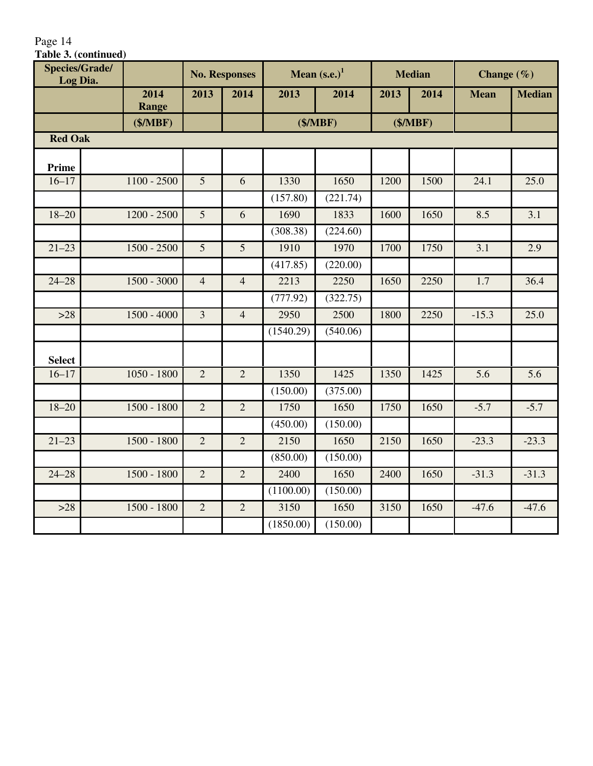| Species/Grade/<br>Log Dia. |               |                | <b>No. Responses</b> |          | Mean $(s.e.)1$ |      | <b>Median</b> | Change $(\% )$ |     |
|----------------------------|---------------|----------------|----------------------|----------|----------------|------|---------------|----------------|-----|
|                            | 2014<br>Range | 2013           | 2014                 | 2013     | 2014           | 2013 | 2014          | <b>Mean</b>    | Med |
|                            | (\$/MBF)      |                |                      |          | (\$/MBF)       |      | (\$/MBF)      |                |     |
| <b>Red Oak</b>             |               |                |                      |          |                |      |               |                |     |
| <b>Prime</b>               |               |                |                      |          |                |      |               |                |     |
| $16 - 17$                  | $1100 - 2500$ | 5              | 6                    | 1330     | 1650           | 1200 | 1500          | 24.1           | 25  |
|                            |               |                |                      | (157.80) | (221.74)       |      |               |                |     |
| $18 - 20$                  | $1200 - 2500$ | 5              | 6                    | 1690     | 1833           | 1600 | 1650          | 8.5            | 3.  |
|                            |               |                |                      | (308.38) | (224.60)       |      |               |                |     |
| $21 - 23$                  | $1500 - 2500$ | 5              | $\overline{5}$       | 1910     | 1970           | 1700 | 1750          | 3.1            | 2.  |
|                            |               |                |                      | (417.85) | (220.00)       |      |               |                |     |
| $24 - 28$                  | 1500 - 3000   | $\overline{4}$ | $\overline{4}$       | 2213     | 2250           | 1650 | 2250          | 1.7            | 36  |

| Prime         |               |                |                |           |          |      |      |         |         |
|---------------|---------------|----------------|----------------|-----------|----------|------|------|---------|---------|
| $16 - 17$     | $1100 - 2500$ | $\overline{5}$ | 6              | 1330      | 1650     | 1200 | 1500 | 24.1    | 25.0    |
|               |               |                |                | (157.80)  | (221.74) |      |      |         |         |
| $18 - 20$     | $1200 - 2500$ | 5              | 6              | 1690      | 1833     | 1600 | 1650 | 8.5     | 3.1     |
|               |               |                |                | (308.38)  | (224.60) |      |      |         |         |
| $21 - 23$     | $1500 - 2500$ | 5              | 5              | 1910      | 1970     | 1700 | 1750 | 3.1     | 2.9     |
|               |               |                |                | (417.85)  | (220.00) |      |      |         |         |
| $24 - 28$     | $1500 - 3000$ | $\overline{4}$ | $\overline{4}$ | 2213      | 2250     | 1650 | 2250 | 1.7     | 36.4    |
|               |               |                |                | (777.92)  | (322.75) |      |      |         |         |
| $>28$         | $1500 - 4000$ | $\overline{3}$ | $\overline{4}$ | 2950      | 2500     | 1800 | 2250 | $-15.3$ | 25.0    |
|               |               |                |                | (1540.29) | (540.06) |      |      |         |         |
| <b>Select</b> |               |                |                |           |          |      |      |         |         |
| $16 - 17$     | $1050 - 1800$ | $\overline{2}$ | $\overline{2}$ | 1350      | 1425     | 1350 | 1425 | 5.6     | 5.6     |
|               |               |                |                | (150.00)  | (375.00) |      |      |         |         |
| $18 - 20$     | 1500 - 1800   | 2              | $\overline{2}$ | 1750      | 1650     | 1750 | 1650 | $-5.7$  | $-5.7$  |
|               |               |                |                | (450.00)  | (150.00) |      |      |         |         |
| $21 - 23$     | 1500 - 1800   | $\overline{2}$ | $\overline{2}$ | 2150      | 1650     | 2150 | 1650 | $-23.3$ | $-23.3$ |
|               |               |                |                | (850.00)  | (150.00) |      |      |         |         |
| $24 - 28$     | 1500 - 1800   | 2              | $\overline{2}$ | 2400      | 1650     | 2400 | 1650 | $-31.3$ | $-31.3$ |
|               |               |                |                | (1100.00) | (150.00) |      |      |         |         |
| $>28$         | 1500 - 1800   | $\overline{2}$ | $\overline{2}$ | 3150      | 1650     | 3150 | 1650 | $-47.6$ | $-47.6$ |
|               |               |                |                | (1850.00) | (150.00) |      |      |         |         |

**2013 2014 2013 2014 2013 2014 Mean Median**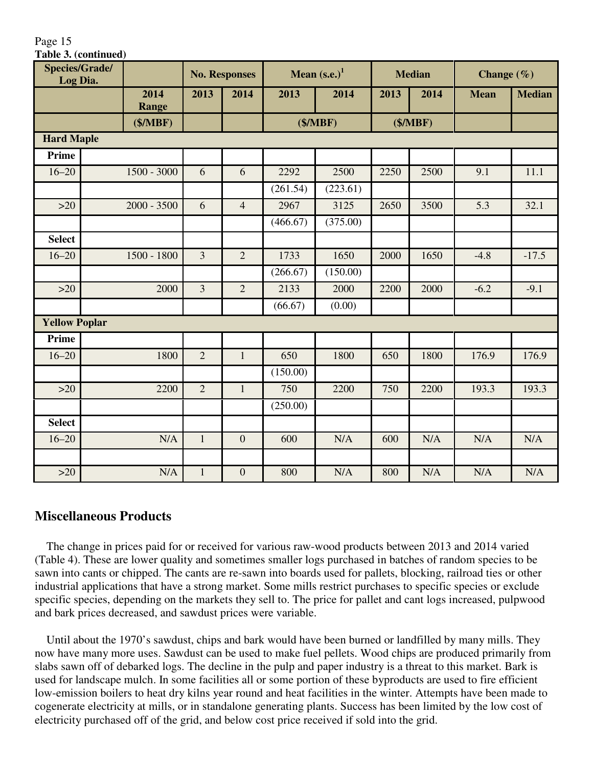| <b>Species/Grade/</b><br>Log Dia. |  |                      | <b>No. Responses</b> |                | Mean $(s.e.)1$ |          | <b>Median</b> |          | Change $(\% )$ |               |
|-----------------------------------|--|----------------------|----------------------|----------------|----------------|----------|---------------|----------|----------------|---------------|
|                                   |  | 2014<br><b>Range</b> | 2013                 | 2014           | 2013           | 2014     | 2013          | 2014     | <b>Mean</b>    | <b>Median</b> |
|                                   |  | (\$/MBF)             |                      |                |                | (\$/MBF) |               | (\$/MBF) |                |               |
| <b>Hard Maple</b>                 |  |                      |                      |                |                |          |               |          |                |               |
| <b>Prime</b>                      |  |                      |                      |                |                |          |               |          |                |               |
| $16 - 20$                         |  | $1500 - 3000$        | 6                    | 6              | 2292           | 2500     | 2250          | 2500     | 9.1            | 11.1          |
|                                   |  |                      |                      |                | (261.54)       | (223.61) |               |          |                |               |
| $>20$                             |  | $2000 - 3500$        | 6                    | $\overline{4}$ | 2967           | 3125     | 2650          | 3500     | 5.3            | 32.1          |
|                                   |  |                      |                      |                | (466.67)       | (375.00) |               |          |                |               |
| <b>Select</b>                     |  |                      |                      |                |                |          |               |          |                |               |
| $16 - 20$                         |  | $1500 - 1800$        | $\overline{3}$       | $\overline{2}$ | 1733           | 1650     | 2000          | 1650     | $-4.8$         | $-17.5$       |
|                                   |  |                      |                      |                | (266.67)       | (150.00) |               |          |                |               |
| $>20$                             |  | 2000                 | 3                    | $\overline{2}$ | 2133           | 2000     | 2200          | 2000     | $-6.2$         | $-9.1$        |
|                                   |  |                      |                      |                | (66.67)        | (0.00)   |               |          |                |               |
| <b>Yellow Poplar</b>              |  |                      |                      |                |                |          |               |          |                |               |
| <b>Prime</b>                      |  |                      |                      |                |                |          |               |          |                |               |
| $16 - 20$                         |  | 1800                 | $\overline{2}$       | $\mathbf{1}$   | 650            | 1800     | 650           | 1800     | 176.9          | 176.9         |
|                                   |  |                      |                      |                | (150.00)       |          |               |          |                |               |
| $>20$                             |  | 2200                 | $\overline{2}$       | $\mathbf{1}$   | 750            | 2200     | 750           | 2200     | 193.3          | 193.3         |
|                                   |  |                      |                      |                | (250.00)       |          |               |          |                |               |
| <b>Select</b>                     |  |                      |                      |                |                |          |               |          |                |               |
| $16 - 20$                         |  | N/A                  | $\mathbf{1}$         | $\overline{0}$ | 600            | N/A      | 600           | N/A      | N/A            | N/A           |
|                                   |  |                      |                      |                |                |          |               |          |                |               |
| $>20$                             |  | N/A                  | $\mathbf{1}$         | $\overline{0}$ | 800            | N/A      | 800           | N/A      | N/A            | N/A           |

## **Miscellaneous Products**

Page 15

**Table 3. (continued)**

 The change in prices paid for or received for various raw-wood products between 2013 and 2014 varied (Table 4). These are lower quality and sometimes smaller logs purchased in batches of random species to be sawn into cants or chipped. The cants are re-sawn into boards used for pallets, blocking, railroad ties or other industrial applications that have a strong market. Some mills restrict purchases to specific species or exclude specific species, depending on the markets they sell to. The price for pallet and cant logs increased, pulpwood and bark prices decreased, and sawdust prices were variable.

 Until about the 1970's sawdust, chips and bark would have been burned or landfilled by many mills. They now have many more uses. Sawdust can be used to make fuel pellets. Wood chips are produced primarily from slabs sawn off of debarked logs. The decline in the pulp and paper industry is a threat to this market. Bark is used for landscape mulch. In some facilities all or some portion of these byproducts are used to fire efficient low-emission boilers to heat dry kilns year round and heat facilities in the winter. Attempts have been made to cogenerate electricity at mills, or in standalone generating plants. Success has been limited by the low cost of electricity purchased off of the grid, and below cost price received if sold into the grid.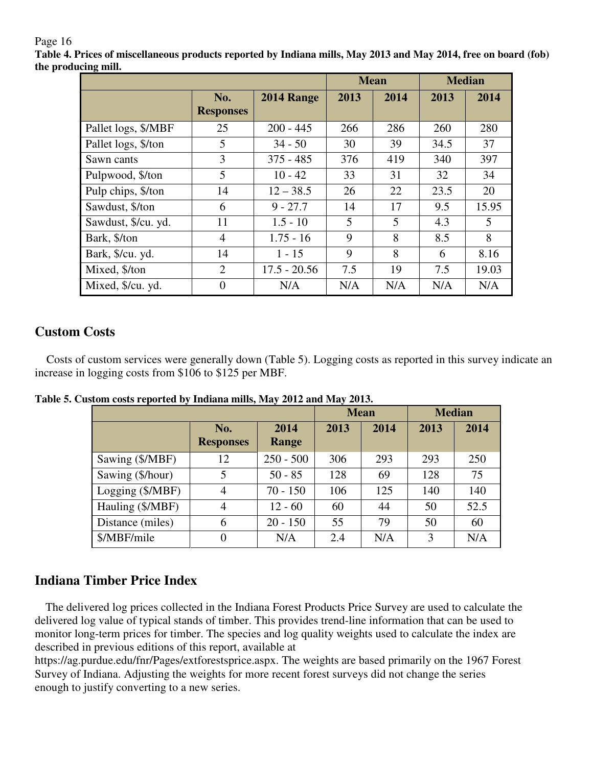**Table 4. Prices of miscellaneous products reported by Indiana mills, May 2013 and May 2014, free on board (fob) the producing mill.** 

|                     |                         |                | <b>Mean</b> |      | <b>Median</b> |       |
|---------------------|-------------------------|----------------|-------------|------|---------------|-------|
|                     | No.<br><b>Responses</b> | 2014 Range     | 2013        | 2014 | 2013          | 2014  |
| Pallet logs, \$/MBF | 25                      | $200 - 445$    | 266         | 286  | 260           | 280   |
| Pallet logs, \$/ton | 5                       | $34 - 50$      | 30          | 39   | 34.5          | 37    |
| Sawn cants          | 3                       | $375 - 485$    | 376         | 419  | 340           | 397   |
| Pulpwood, \$/ton    | 5                       | $10 - 42$      | 33          | 31   | 32            | 34    |
| Pulp chips, \$/ton  | 14                      | $12 - 38.5$    | 26          | 22   | 23.5          | 20    |
| Sawdust, \$/ton     | 6                       | $9 - 27.7$     | 14          | 17   | 9.5           | 15.95 |
| Sawdust, \$/cu. yd. | 11                      | $1.5 - 10$     | 5           | 5    | 4.3           | 5     |
| Bark, \$/ton        | $\overline{4}$          | $1.75 - 16$    | 9           | 8    | 8.5           | 8     |
| Bark, \$/cu. yd.    | 14                      | $1 - 15$       | 9           | 8    | 6             | 8.16  |
| Mixed, \$/ton       | $\overline{2}$          | $17.5 - 20.56$ | 7.5         | 19   | 7.5           | 19.03 |
| Mixed, \$/cu. yd.   | $\overline{0}$          | N/A            | N/A         | N/A  | N/A           | N/A   |

## **Custom Costs**

 Costs of custom services were generally down (Table 5). Logging costs as reported in this survey indicate an increase in logging costs from \$106 to \$125 per MBF.

|                  |                         |               | <b>Mean</b> | <b>Median</b> |      |      |
|------------------|-------------------------|---------------|-------------|---------------|------|------|
|                  | No.<br><b>Responses</b> | 2014<br>Range | 2013        | 2014          | 2013 | 2014 |
| Sawing (\$/MBF)  | 12                      | $250 - 500$   | 306         | 293           | 293  | 250  |
| Sawing (\$/hour) | 5                       | $50 - 85$     | 128         | 69            | 128  | 75   |
| Logging (\$/MBF) | 4                       | $70 - 150$    | 106         | 125           | 140  | 140  |
| Hauling (\$/MBF) | 4                       | $12 - 60$     | 60          | 44            | 50   | 52.5 |
| Distance (miles) | 6                       | $20 - 150$    | 55          | 79            | 50   | 60   |
| \$/MBF/mile      | $\overline{0}$          | N/A           | 2.4         | N/A           | 3    | N/A  |

**Table 5. Custom costs reported by Indiana mills, May 2012 and May 2013.** 

## **Indiana Timber Price Index**

 The delivered log prices collected in the Indiana Forest Products Price Survey are used to calculate the delivered log value of typical stands of timber. This provides trend-line information that can be used to monitor long-term prices for timber. The species and log quality weights used to calculate the index are described in previous editions of this report, available at

https://ag.purdue.edu/fnr/Pages/extforestsprice.aspx. The weights are based primarily on the 1967 Forest Survey of Indiana. Adjusting the weights for more recent forest surveys did not change the series enough to justify converting to a new series.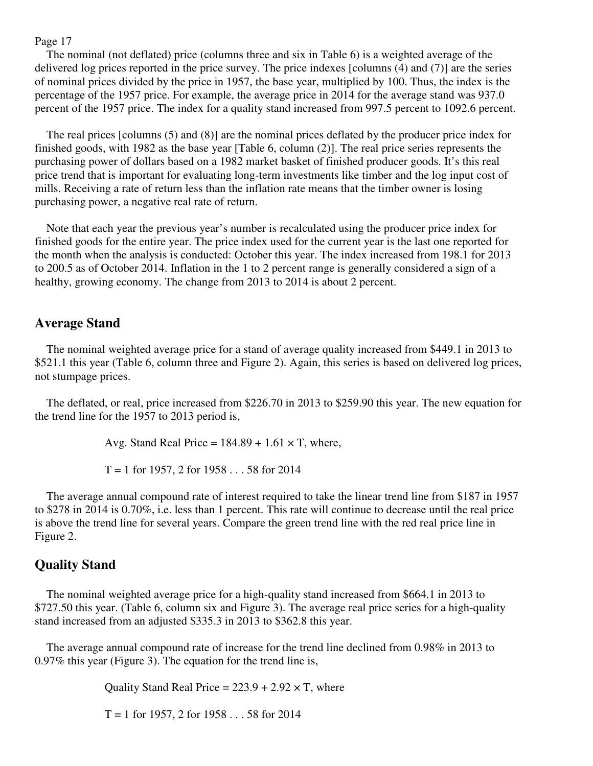The nominal (not deflated) price (columns three and six in Table 6) is a weighted average of the delivered log prices reported in the price survey. The price indexes [columns (4) and (7)] are the series of nominal prices divided by the price in 1957, the base year, multiplied by 100. Thus, the index is the percentage of the 1957 price. For example, the average price in 2014 for the average stand was 937.0 percent of the 1957 price. The index for a quality stand increased from 997.5 percent to 1092.6 percent.

 The real prices [columns (5) and (8)] are the nominal prices deflated by the producer price index for finished goods, with 1982 as the base year [Table 6, column (2)]. The real price series represents the purchasing power of dollars based on a 1982 market basket of finished producer goods. It's this real price trend that is important for evaluating long-term investments like timber and the log input cost of mills. Receiving a rate of return less than the inflation rate means that the timber owner is losing purchasing power, a negative real rate of return.

 Note that each year the previous year's number is recalculated using the producer price index for finished goods for the entire year. The price index used for the current year is the last one reported for the month when the analysis is conducted: October this year. The index increased from 198.1 for 2013 to 200.5 as of October 2014. Inflation in the 1 to 2 percent range is generally considered a sign of a healthy, growing economy. The change from 2013 to 2014 is about 2 percent.

#### **Average Stand**

 The nominal weighted average price for a stand of average quality increased from \$449.1 in 2013 to \$521.1 this year (Table 6, column three and Figure 2). Again, this series is based on delivered log prices, not stumpage prices.

 The deflated, or real, price increased from \$226.70 in 2013 to \$259.90 this year. The new equation for the trend line for the 1957 to 2013 period is,

Avg. Stand Real Price =  $184.89 + 1.61 \times T$ , where,

 $T = 1$  for 1957, 2 for 1958 . . . 58 for 2014

 The average annual compound rate of interest required to take the linear trend line from \$187 in 1957 to \$278 in 2014 is 0.70%, i.e. less than 1 percent. This rate will continue to decrease until the real price is above the trend line for several years. Compare the green trend line with the red real price line in Figure 2.

## **Quality Stand**

 The nominal weighted average price for a high-quality stand increased from \$664.1 in 2013 to \$727.50 this year. (Table 6, column six and Figure 3). The average real price series for a high-quality stand increased from an adjusted \$335.3 in 2013 to \$362.8 this year.

 The average annual compound rate of increase for the trend line declined from 0.98% in 2013 to 0.97% this year (Figure 3). The equation for the trend line is,

Quality Stand Real Price =  $223.9 + 2.92 \times T$ , where

 $T = 1$  for 1957, 2 for 1958 . . . 58 for 2014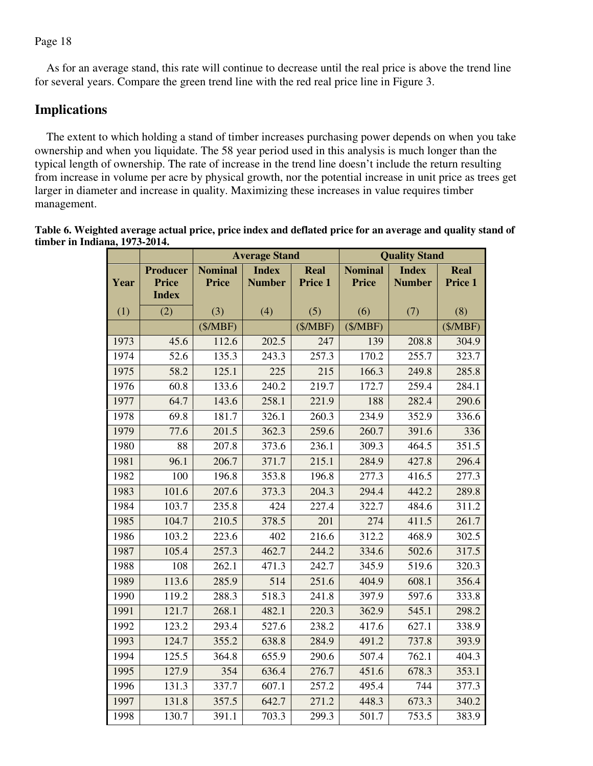As for an average stand, this rate will continue to decrease until the real price is above the trend line for several years. Compare the green trend line with the red real price line in Figure 3.

## **Implications**

 The extent to which holding a stand of timber increases purchasing power depends on when you take ownership and when you liquidate. The 58 year period used in this analysis is much longer than the typical length of ownership. The rate of increase in the trend line doesn't include the return resulting from increase in volume per acre by physical growth, nor the potential increase in unit price as trees get larger in diameter and increase in quality. Maximizing these increases in value requires timber management.

| Table 6. Weighted average actual price, price index and deflated price for an average and quality stand of |  |
|------------------------------------------------------------------------------------------------------------|--|
| timber in Indiana, 1973-2014.                                                                              |  |

|      |                                                 |                                | <b>Average Stand</b>          |                        | <b>Quality Stand</b>           |                               |                        |  |
|------|-------------------------------------------------|--------------------------------|-------------------------------|------------------------|--------------------------------|-------------------------------|------------------------|--|
| Year | <b>Producer</b><br><b>Price</b><br><b>Index</b> | <b>Nominal</b><br><b>Price</b> | <b>Index</b><br><b>Number</b> | <b>Real</b><br>Price 1 | <b>Nominal</b><br><b>Price</b> | <b>Index</b><br><b>Number</b> | <b>Real</b><br>Price 1 |  |
| (1)  | (2)                                             | (3)                            | (4)                           | (5)                    | (6)                            | (7)                           | (8)                    |  |
|      |                                                 | (\$/MBF)                       |                               | (\$/MBF)               | (\$/MBF)                       |                               | (\$/MBF)               |  |
| 1973 | 45.6                                            | 112.6                          | 202.5                         | 247                    | 139                            | 208.8                         | 304.9                  |  |
| 1974 | 52.6                                            | 135.3                          | 243.3                         | 257.3                  | 170.2                          | 255.7                         | 323.7                  |  |
| 1975 | 58.2                                            | 125.1                          | 225                           | 215                    | 166.3                          | 249.8                         | 285.8                  |  |
| 1976 | 60.8                                            | 133.6                          | 240.2                         | 219.7                  | 172.7                          | 259.4                         | 284.1                  |  |
| 1977 | 64.7                                            | 143.6                          | 258.1                         | 221.9                  | 188                            | 282.4                         | 290.6                  |  |
| 1978 | 69.8                                            | 181.7                          | 326.1                         | 260.3                  | 234.9                          | 352.9                         | 336.6                  |  |
| 1979 | 77.6                                            | $\overline{201.5}$             | 362.3                         | 259.6                  | 260.7                          | 391.6                         | 336                    |  |
| 1980 | 88                                              | 207.8                          | 373.6                         | 236.1                  | 309.3                          | 464.5                         | $\overline{3}51.5$     |  |
| 1981 | 96.1                                            | 206.7                          | 371.7                         | 215.1                  | 284.9                          | 427.8                         | 296.4                  |  |
| 1982 | 100                                             | 196.8                          | 353.8                         | 196.8                  | 277.3                          | 416.5                         | 277.3                  |  |
| 1983 | 101.6                                           | 207.6                          | 373.3                         | 204.3                  | 294.4                          | 442.2                         | 289.8                  |  |
| 1984 | 103.7                                           | 235.8                          | 424                           | 227.4                  | 322.7                          | 484.6                         | 311.2                  |  |
| 1985 | 104.7                                           | 210.5                          | 378.5                         | 201                    | 274                            | 411.5                         | 261.7                  |  |
| 1986 | 103.2                                           | 223.6                          | 402                           | 216.6                  | 312.2                          | 468.9                         | 302.5                  |  |
| 1987 | 105.4                                           | 257.3                          | 462.7                         | 244.2                  | 334.6                          | 502.6                         | 317.5                  |  |
| 1988 | 108                                             | 262.1                          | 471.3                         | 242.7                  | 345.9                          | 519.6                         | 320.3                  |  |
| 1989 | 113.6                                           | 285.9                          | 514                           | 251.6                  | 404.9                          | 608.1                         | 356.4                  |  |
| 1990 | 119.2                                           | 288.3                          | 518.3                         | 241.8                  | 397.9                          | 597.6                         | 333.8                  |  |
| 1991 | 121.7                                           | 268.1                          | 482.1                         | 220.3                  | 362.9                          | 545.1                         | 298.2                  |  |
| 1992 | 123.2                                           | 293.4                          | 527.6                         | 238.2                  | 417.6                          | 627.1                         | 338.9                  |  |
| 1993 | 124.7                                           | 355.2                          | 638.8                         | 284.9                  | 491.2                          | 737.8                         | 393.9                  |  |
| 1994 | 125.5                                           | 364.8                          | 655.9                         | 290.6                  | 507.4                          | 762.1                         | 404.3                  |  |
| 1995 | 127.9                                           | 354                            | 636.4                         | 276.7                  | 451.6                          | 678.3                         | 353.1                  |  |
| 1996 | 131.3                                           | 337.7                          | 607.1                         | 257.2                  | 495.4                          | 744                           | 377.3                  |  |
| 1997 | 131.8                                           | 357.5                          | 642.7                         | 271.2                  | 448.3                          | 673.3                         | 340.2                  |  |
| 1998 | 130.7                                           | 391.1                          | 703.3                         | 299.3                  | 501.7                          | 753.5                         | 383.9                  |  |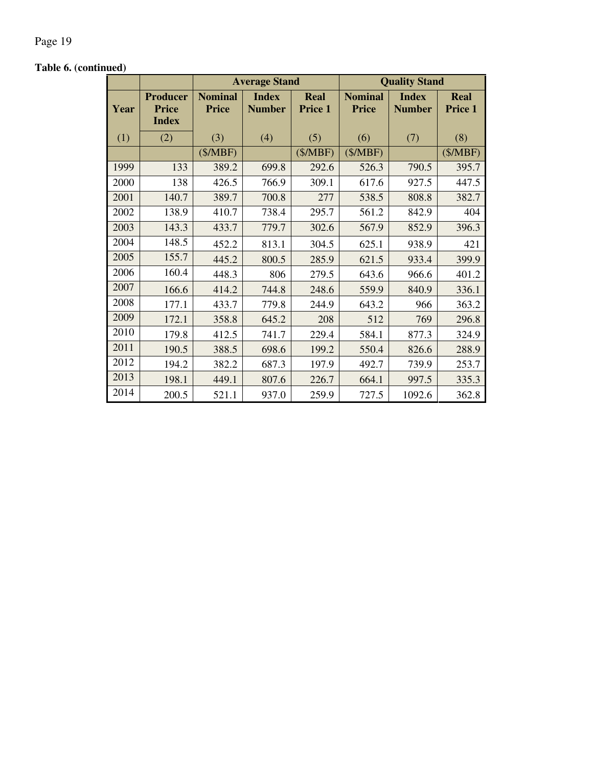## **Table 6. (continued)**

|      |                                                 |                                | <b>Average Stand</b>          |                        | <b>Quality Stand</b>           |                               |                 |  |
|------|-------------------------------------------------|--------------------------------|-------------------------------|------------------------|--------------------------------|-------------------------------|-----------------|--|
| Year | <b>Producer</b><br><b>Price</b><br><b>Index</b> | <b>Nominal</b><br><b>Price</b> | <b>Index</b><br><b>Number</b> | <b>Real</b><br>Price 1 | <b>Nominal</b><br><b>Price</b> | <b>Index</b><br><b>Number</b> | Real<br>Price 1 |  |
| (1)  | (2)                                             | (3)                            | (4)                           | (5)                    | (6)                            | (7)                           | (8)             |  |
|      |                                                 | (\$/MBF)                       |                               | (\$/MBF)               | (\$/MBF)                       |                               | (\$/MBF)        |  |
| 1999 | 133                                             | 389.2                          | 699.8                         | 292.6                  | 526.3                          | 790.5                         | 395.7           |  |
| 2000 | 138                                             | 426.5                          | 766.9                         | 309.1                  | 617.6                          | 927.5                         | 447.5           |  |
| 2001 | 140.7                                           | 389.7                          | 700.8                         | 277                    | 538.5                          | 808.8                         | 382.7           |  |
| 2002 | 138.9                                           | 410.7                          | 738.4                         | 295.7                  | 561.2                          | 842.9                         | 404             |  |
| 2003 | 143.3                                           | 433.7                          | 779.7                         | 302.6                  | 567.9                          | 852.9                         | 396.3           |  |
| 2004 | 148.5                                           | 452.2                          | 813.1                         | 304.5                  | 625.1                          | 938.9                         | 421             |  |
| 2005 | 155.7                                           | 445.2                          | 800.5                         | 285.9                  | 621.5                          | 933.4                         | 399.9           |  |
| 2006 | 160.4                                           | 448.3                          | 806                           | 279.5                  | 643.6                          | 966.6                         | 401.2           |  |
| 2007 | 166.6                                           | 414.2                          | 744.8                         | 248.6                  | 559.9                          | 840.9                         | 336.1           |  |
| 2008 | 177.1                                           | 433.7                          | 779.8                         | 244.9                  | 643.2                          | 966                           | 363.2           |  |
| 2009 | 172.1                                           | 358.8                          | 645.2                         | 208                    | 512                            | 769                           | 296.8           |  |
| 2010 | 179.8                                           | 412.5                          | 741.7                         | 229.4                  | 584.1                          | 877.3                         | 324.9           |  |
| 2011 | 190.5                                           | 388.5                          | 698.6                         | 199.2                  | 550.4                          | 826.6                         | 288.9           |  |
| 2012 | 194.2                                           | 382.2                          | 687.3                         | 197.9                  | 492.7                          | 739.9                         | 253.7           |  |
| 2013 | 198.1                                           | 449.1                          | 807.6                         | 226.7                  | 664.1                          | 997.5                         | 335.3           |  |
| 2014 | 200.5                                           | 521.1                          | 937.0                         | 259.9                  | 727.5                          | 1092.6                        | 362.8           |  |